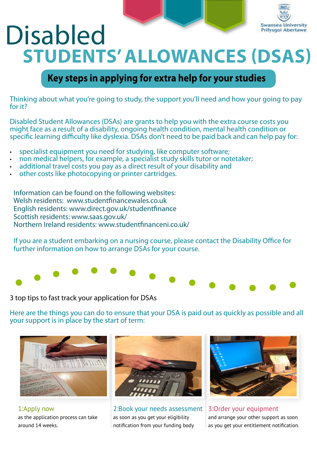# **Swansea University** Disabled **Prifysgol Abertawe Students' Allowances (DSAs)**

## **Key steps in applying for extra help for your studies**

Thinking about what you're going to study, the support you'll need and how your going to pay for it?

Disabled Student Allowances (DSAs) are grants to help you with the extra course costs you might face as a result of a disability, ongoing health condition, mental health condition or specific learning difficulty like dyslexia. DSAs don't need to be paid back and can help pay for:

- specialist equipment you need for studying, like computer software;
- non medical helpers, for example, a specialist study skills tutor or notetaker;
- additional travel costs you pay as a direct result of your disability and
- other costs like photocopying or printer cartridges.

Information can be found on the following websites: Welsh residents: <www.studentfinancewales.co.uk> English residents: <www.direct.gov.uk/studentfinance> Scottish residents: [www.saas.gov.uk/](www.saas.gov.uk) Northern Ireland residents: [www.studentfinanceni.co.uk/](www.studentfinanceni.co.uk)

If you are a student embarking on a nursing course, please contact the Disability Office for further information on how to arrange DSAs for your course.



3 top tips to fast track your application for DSAs

Here are the things you can do to ensure that your DSA is paid out as quickly as possible and all your support is in place by the start of term:



1:Apply now as the application process can take around 14 weeks.

2:Book your needs assessment 3:Order your equipment as soon as you get your eligibility notification from your funding body

and arrange your other support as soon as you get your entitlement notification.